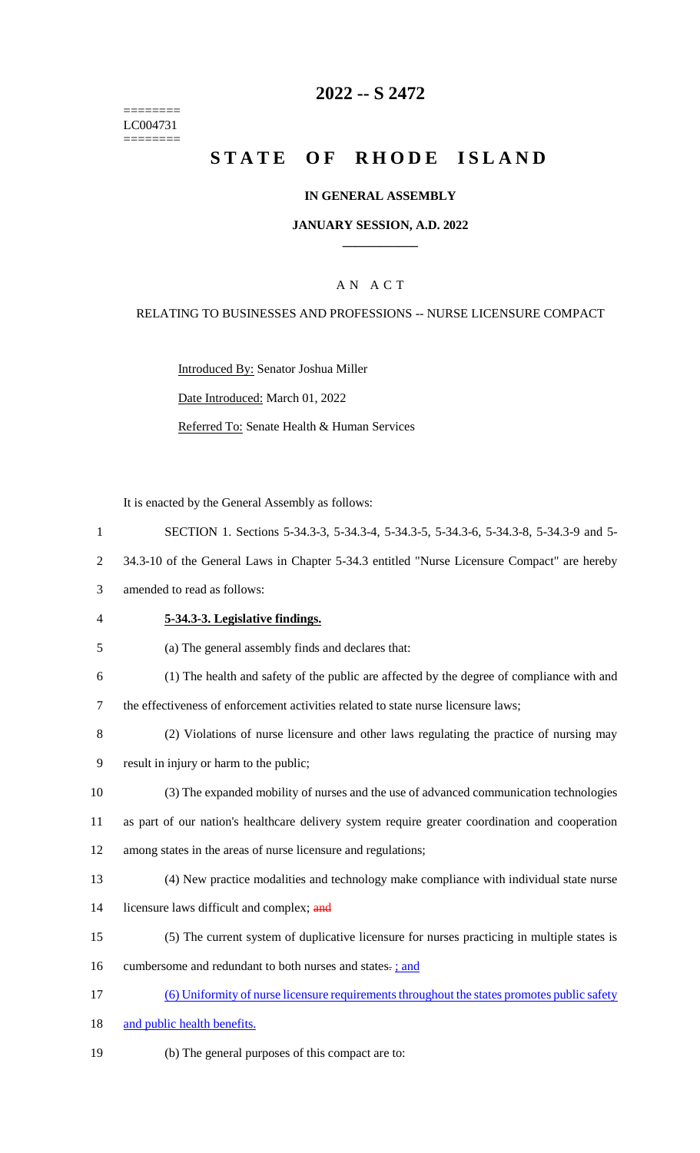======== LC004731 ========

# **2022 -- S 2472**

# **STATE OF RHODE ISLAND**

#### **IN GENERAL ASSEMBLY**

#### **JANUARY SESSION, A.D. 2022 \_\_\_\_\_\_\_\_\_\_\_\_**

### A N A C T

#### RELATING TO BUSINESSES AND PROFESSIONS -- NURSE LICENSURE COMPACT

Introduced By: Senator Joshua Miller

Date Introduced: March 01, 2022

Referred To: Senate Health & Human Services

It is enacted by the General Assembly as follows:

 SECTION 1. Sections 5-34.3-3, 5-34.3-4, 5-34.3-5, 5-34.3-6, 5-34.3-8, 5-34.3-9 and 5- 34.3-10 of the General Laws in Chapter 5-34.3 entitled "Nurse Licensure Compact" are hereby amended to read as follows: **5-34.3-3. Legislative findings.** (a) The general assembly finds and declares that: (1) The health and safety of the public are affected by the degree of compliance with and the effectiveness of enforcement activities related to state nurse licensure laws; (2) Violations of nurse licensure and other laws regulating the practice of nursing may result in injury or harm to the public; (3) The expanded mobility of nurses and the use of advanced communication technologies as part of our nation's healthcare delivery system require greater coordination and cooperation among states in the areas of nurse licensure and regulations; (4) New practice modalities and technology make compliance with individual state nurse 14 licensure laws difficult and complex; and (5) The current system of duplicative licensure for nurses practicing in multiple states is 16 cumbersome and redundant to both nurses and states-: and (6) Uniformity of nurse licensure requirements throughout the states promotes public safety 18 and public health benefits. (b) The general purposes of this compact are to: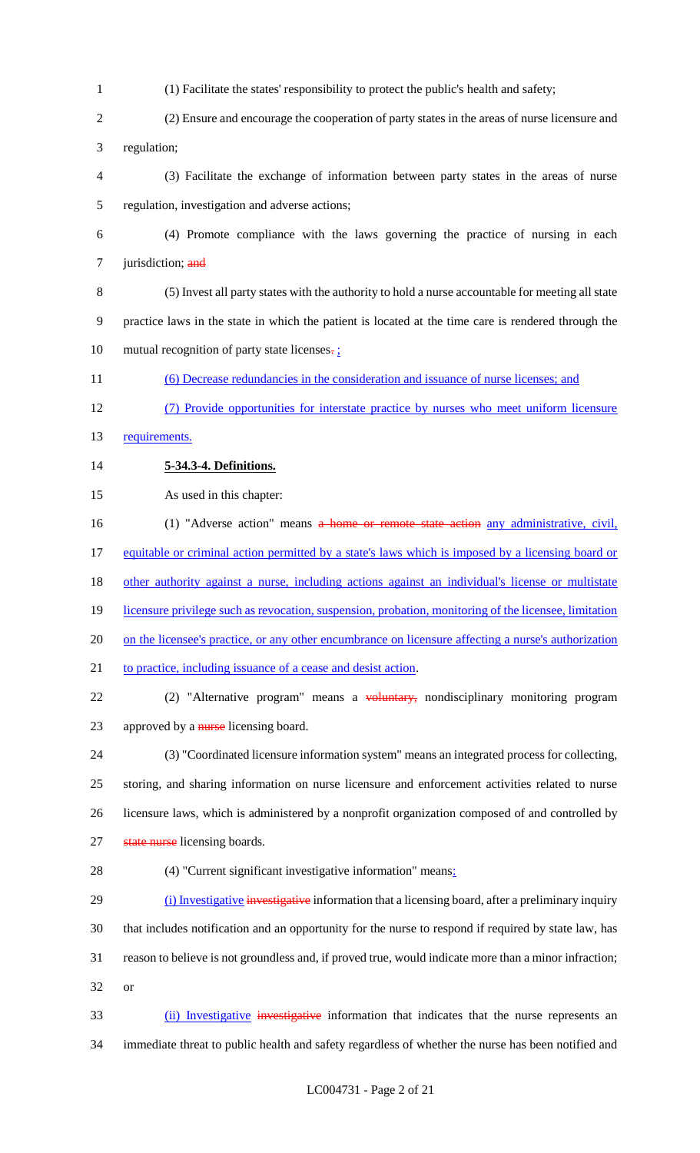- (1) Facilitate the states' responsibility to protect the public's health and safety;
- (2) Ensure and encourage the cooperation of party states in the areas of nurse licensure and regulation;
- (3) Facilitate the exchange of information between party states in the areas of nurse regulation, investigation and adverse actions;
- (4) Promote compliance with the laws governing the practice of nursing in each 7 jurisdiction; and
- (5) Invest all party states with the authority to hold a nurse accountable for meeting all state practice laws in the state in which the patient is located at the time care is rendered through the 10 mutual recognition of party state licenses. $\frac{1}{2}$
- (6) Decrease redundancies in the consideration and issuance of nurse licenses; and
- (7) Provide opportunities for interstate practice by nurses who meet uniform licensure
- 13 requirements.
- **5-34.3-4. Definitions.**
- As used in this chapter:
- 16 (1) "Adverse action" means a home or remote state action any administrative, civil, equitable or criminal action permitted by a state's laws which is imposed by a licensing board or other authority against a nurse, including actions against an individual's license or multistate 19 licensure privilege such as revocation, suspension, probation, monitoring of the licensee, limitation on the licensee's practice, or any other encumbrance on licensure affecting a nurse's authorization 21 to practice, including issuance of a cease and desist action. 22 (2) "Alternative program" means a voluntary, nondisciplinary monitoring program 23 approved by a nurse licensing board.
- (3) "Coordinated licensure information system" means an integrated process for collecting, storing, and sharing information on nurse licensure and enforcement activities related to nurse licensure laws, which is administered by a nonprofit organization composed of and controlled by 27 state nurse licensing boards.
- (4) "Current significant investigative information" means:
- 29 (i) Investigative investigative information that a licensing board, after a preliminary inquiry that includes notification and an opportunity for the nurse to respond if required by state law, has reason to believe is not groundless and, if proved true, would indicate more than a minor infraction; or
- 33 (ii) Investigative investigative information that indicates that the nurse represents an immediate threat to public health and safety regardless of whether the nurse has been notified and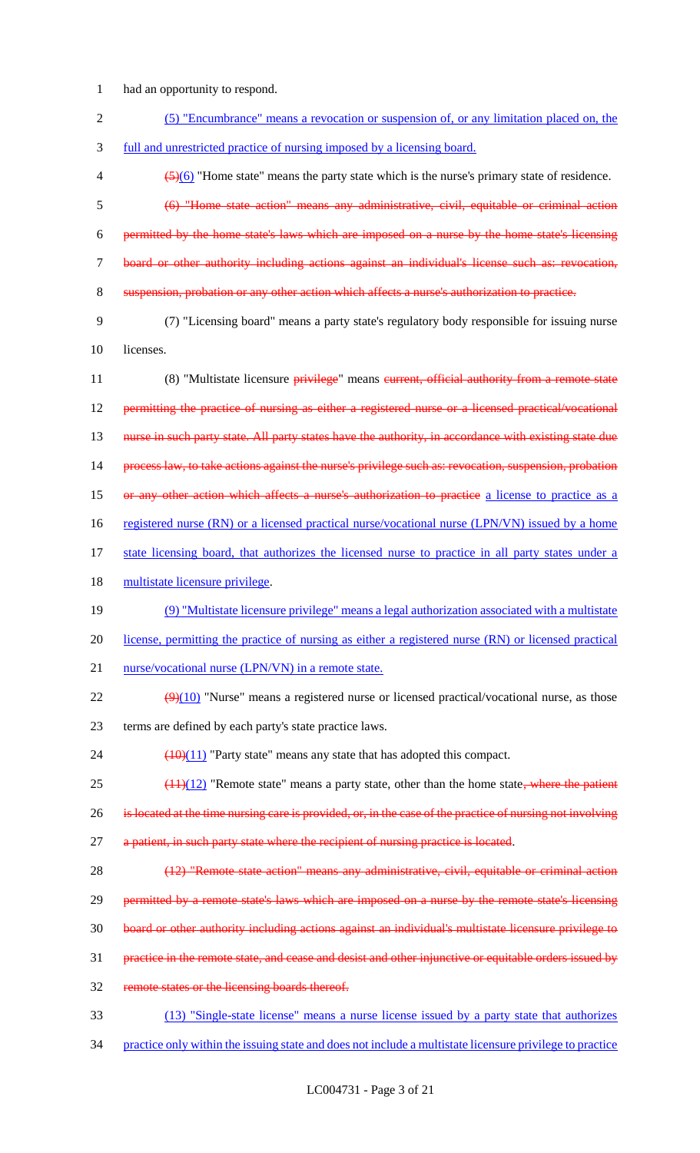1 had an opportunity to respond.

| $\overline{2}$ | (5) "Encumbrance" means a revocation or suspension of, or any limitation placed on, the                        |
|----------------|----------------------------------------------------------------------------------------------------------------|
| 3              | full and unrestricted practice of nursing imposed by a licensing board.                                        |
| 4              | $\left(\frac{5}{6}\right)$ "Home state" means the party state which is the nurse's primary state of residence. |
| 5              | (6) "Home state action" means any administrative, civil, equitable or criminal action                          |
| 6              | permitted by the home state's laws which are imposed on a nurse by the home state's licensing                  |
| $\tau$         | board or other authority including actions against an individual's license such as: revocation,                |
| 8              | suspension, probation or any other action which affects a nurse's authorization to practice.                   |
| 9              | (7) "Licensing board" means a party state's regulatory body responsible for issuing nurse                      |
| 10             | licenses.                                                                                                      |
| 11             | (8) "Multistate licensure privilege" means eurrent, official authority from a remote state                     |
| 12             | permitting the practice of nursing as either a registered nurse or a licensed practical/vocational             |
| 13             | nurse in such party state. All party states have the authority, in accordance with existing state due          |
| 14             | process law, to take actions against the nurse's privilege such as: revocation, suspension, probation          |
| 15             | or any other action which affects a nurse's authorization to practice a license to practice as a               |
| 16             | registered nurse (RN) or a licensed practical nurse/vocational nurse (LPN/VN) issued by a home                 |
| 17             | state licensing board, that authorizes the licensed nurse to practice in all party states under a              |
| 18             | multistate licensure privilege.                                                                                |
| 19             | (9) "Multistate licensure privilege" means a legal authorization associated with a multistate                  |
| 20             | license, permitting the practice of nursing as either a registered nurse (RN) or licensed practical            |
| 21             | nurse/vocational nurse (LPN/VN) in a remote state.                                                             |
| 22             | $\left(\frac{9}{10}\right)$ "Nurse" means a registered nurse or licensed practical/vocational nurse, as those  |
| 23             | terms are defined by each party's state practice laws.                                                         |
| 24             | $\frac{(10)(11)}{2}$ "Party state" means any state that has adopted this compact.                              |
| 25             | $(11)(12)$ "Remote state" means a party state, other than the home state, where the patient                    |
| 26             | is located at the time nursing care is provided, or, in the case of the practice of nursing not involving      |
| 27             | a patient, in such party state where the recipient of nursing practice is located.                             |
| 28             | (12) "Remote state action" means any administrative, civil, equitable or criminal action                       |
| 29             | permitted by a remote state's laws which are imposed on a nurse by the remote state's licensing                |
| 30             | board or other authority including actions against an individual's multistate licensure privilege to           |
| 31             | practice in the remote state, and cease and desist and other injunctive or equitable orders issued by          |
| 32             | remote states or the licensing boards thereof.                                                                 |
| 33             | (13) "Single-state license" means a nurse license issued by a party state that authorizes                      |
|                |                                                                                                                |

34 practice only within the issuing state and does not include a multistate licensure privilege to practice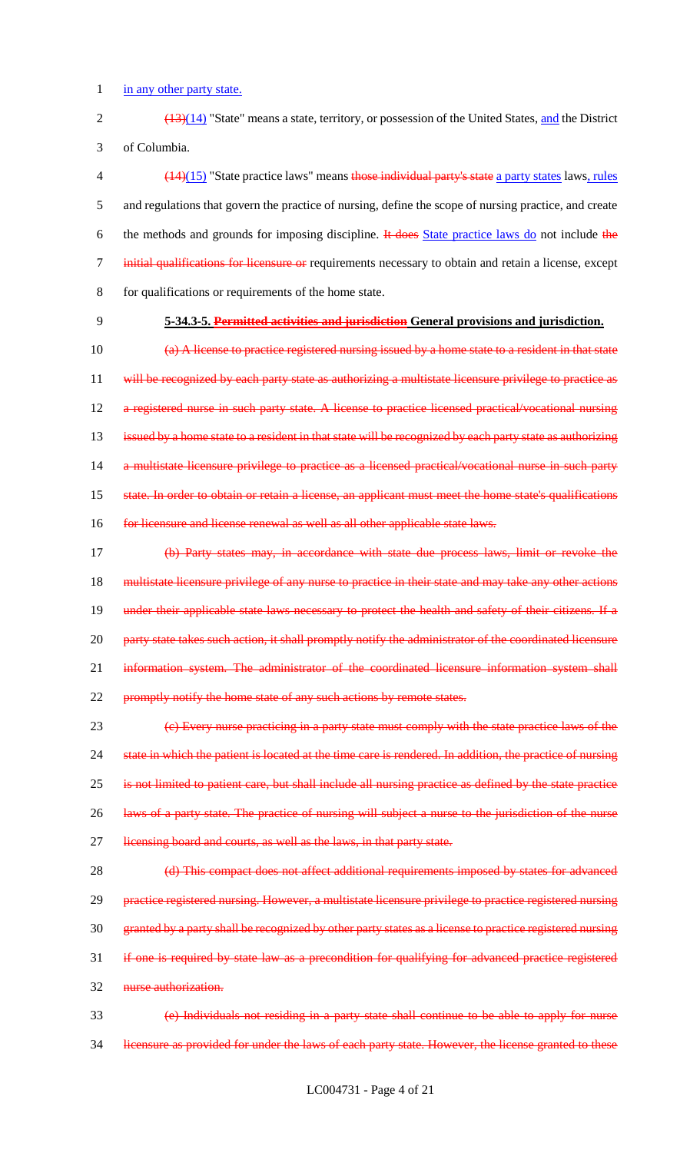1 in any other party state.

2 (13)(14) "State" means a state, territory, or possession of the United States, and the District 3 of Columbia.

 (14)(15) "State practice laws" means those individual party's state a party states laws, rules and regulations that govern the practice of nursing, define the scope of nursing practice, and create 6 the methods and grounds for imposing discipline. It does State practice laws do not include the initial qualifications for licensure or requirements necessary to obtain and retain a license, except for qualifications or requirements of the home state.

# 9 **5-34.3-5. Permitted activities and jurisdiction General provisions and jurisdiction.**

10 (a) A license to practice registered nursing issued by a home state to a resident in that state 11 will be recognized by each party state as authorizing a multistate licensure privilege to practice as 12 a registered nurse in such party state. A license to practice licensed practical/vocational nursing 13 issued by a home state to a resident in that state will be recognized by each party state as authorizing 14 a multistate licensure privilege to practice as a licensed practical/vocational nurse in such party 15 state. In order to obtain or retain a license, an applicant must meet the home state's qualifications 16 for licensure and license renewal as well as all other applicable state laws.

17 (b) Party states may, in accordance with state due process laws, limit or revoke the 18 multistate licensure privilege of any nurse to practice in their state and may take any other actions 19 under their applicable state laws necessary to protect the health and safety of their citizens. If a 20 party state takes such action, it shall promptly notify the administrator of the coordinated licensure 21 information system. The administrator of the coordinated licensure information system shall 22 promptly notify the home state of any such actions by remote states.

23 (c) Every nurse practicing in a party state must comply with the state practice laws of the 24 state in which the patient is located at the time care is rendered. In addition, the practice of nursing 25 is not limited to patient care, but shall include all nursing practice as defined by the state practice 26 laws of a party state. The practice of nursing will subject a nurse to the jurisdiction of the nurse 27 licensing board and courts, as well as the laws, in that party state.

28 (d) This compact does not affect additional requirements imposed by states for advanced 29 practice registered nursing. However, a multistate licensure privilege to practice registered nursing 30 granted by a party shall be recognized by other party states as a license to practice registered nursing 31 if one is required by state law as a precondition for qualifying for advanced practice registered 32 nurse authorization.

33 (e) Individuals not residing in a party state shall continue to be able to apply for nurse 34 licensure as provided for under the laws of each party state. However, the license granted to these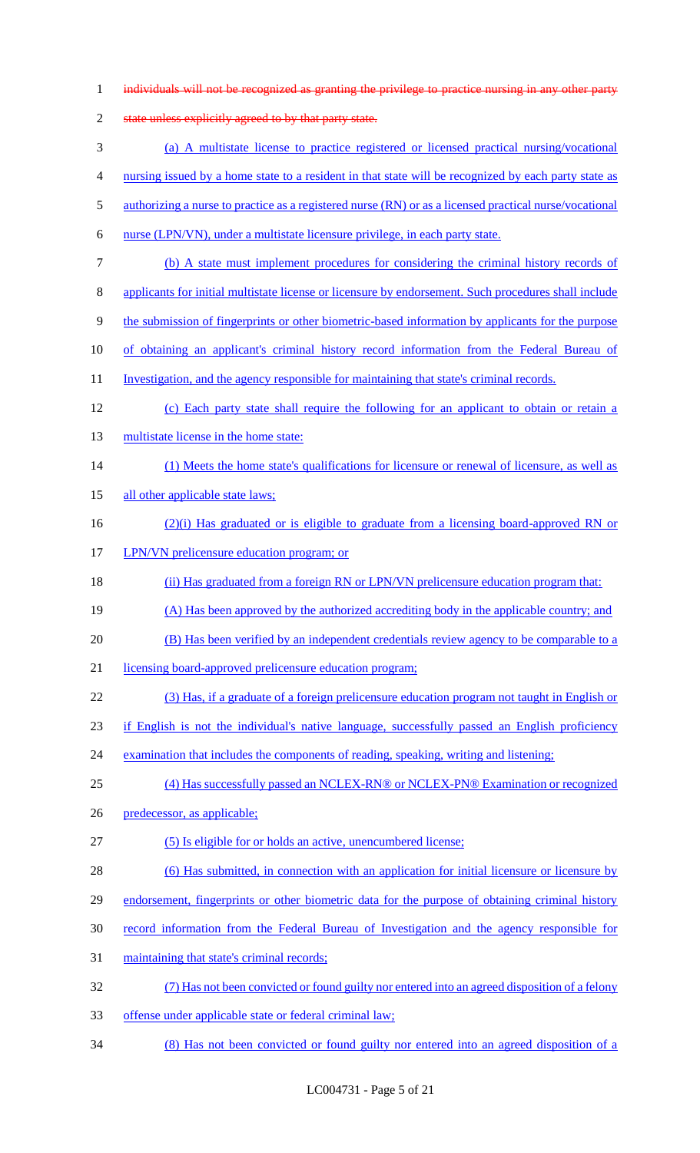| $\mathbf{1}$   | individuals will not be recognized as granting the privilege to practice nursing in any other party    |
|----------------|--------------------------------------------------------------------------------------------------------|
| $\overline{2}$ | state unless explicitly agreed to by that party state.                                                 |
| 3              | (a) A multistate license to practice registered or licensed practical nursing/vocational               |
| 4              | nursing issued by a home state to a resident in that state will be recognized by each party state as   |
| 5              | authorizing a nurse to practice as a registered nurse (RN) or as a licensed practical nurse/vocational |
| 6              | nurse (LPN/VN), under a multistate licensure privilege, in each party state.                           |
| 7              | (b) A state must implement procedures for considering the criminal history records of                  |
| 8              | applicants for initial multistate license or licensure by endorsement. Such procedures shall include   |
| 9              | the submission of fingerprints or other biometric-based information by applicants for the purpose      |
| 10             | of obtaining an applicant's criminal history record information from the Federal Bureau of             |
| 11             | Investigation, and the agency responsible for maintaining that state's criminal records.               |
| 12             | (c) Each party state shall require the following for an applicant to obtain or retain a                |
| 13             | multistate license in the home state:                                                                  |
| 14             | (1) Meets the home state's qualifications for licensure or renewal of licensure, as well as            |
| 15             | all other applicable state laws;                                                                       |
| 16             | $(2)(i)$ Has graduated or is eligible to graduate from a licensing board-approved RN or                |
| 17             | LPN/VN prelicensure education program; or                                                              |
| 18             | (ii) Has graduated from a foreign RN or LPN/VN prelicensure education program that:                    |
| 19             | (A) Has been approved by the authorized accrediting body in the applicable country; and                |
| 20             | (B) Has been verified by an independent credentials review agency to be comparable to a                |
| 21             | licensing board-approved prelicensure education program;                                               |
| 22             | (3) Has, if a graduate of a foreign prelicensure education program not taught in English or            |
| 23             | if English is not the individual's native language, successfully passed an English proficiency         |
| 24             | examination that includes the components of reading, speaking, writing and listening;                  |
| 25             | (4) Has successfully passed an NCLEX-RN® or NCLEX-PN® Examination or recognized                        |
| 26             | predecessor, as applicable;                                                                            |
| 27             | (5) Is eligible for or holds an active, unencumbered license;                                          |
| 28             | (6) Has submitted, in connection with an application for initial licensure or licensure by             |
| 29             | endorsement, fingerprints or other biometric data for the purpose of obtaining criminal history        |
| 30             | record information from the Federal Bureau of Investigation and the agency responsible for             |
| 31             | maintaining that state's criminal records;                                                             |
| 32             | (7) Has not been convicted or found guilty nor entered into an agreed disposition of a felony          |
| 33             | offense under applicable state or federal criminal law;                                                |
| 34             | (8) Has not been convicted or found guilty nor entered into an agreed disposition of a                 |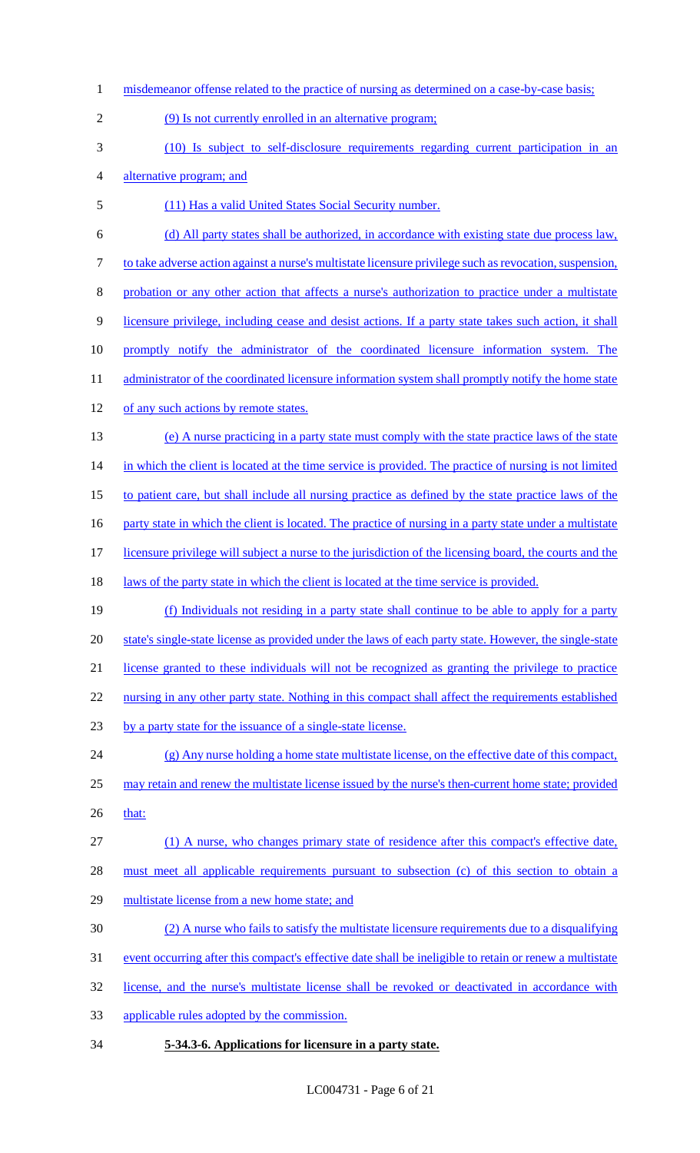1 misdemeanor offense related to the practice of nursing as determined on a case-by-case basis; (9) Is not currently enrolled in an alternative program; (10) Is subject to self-disclosure requirements regarding current participation in an alternative program; and (11) Has a valid United States Social Security number. (d) All party states shall be authorized, in accordance with existing state due process law, to take adverse action against a nurse's multistate licensure privilege such as revocation, suspension, probation or any other action that affects a nurse's authorization to practice under a multistate licensure privilege, including cease and desist actions. If a party state takes such action, it shall 10 promptly notify the administrator of the coordinated licensure information system. The 11 administrator of the coordinated licensure information system shall promptly notify the home state 12 of any such actions by remote states. (e) A nurse practicing in a party state must comply with the state practice laws of the state 14 in which the client is located at the time service is provided. The practice of nursing is not limited to patient care, but shall include all nursing practice as defined by the state practice laws of the 16 party state in which the client is located. The practice of nursing in a party state under a multistate licensure privilege will subject a nurse to the jurisdiction of the licensing board, the courts and the 18 laws of the party state in which the client is located at the time service is provided. (f) Individuals not residing in a party state shall continue to be able to apply for a party state's single-state license as provided under the laws of each party state. However, the single-state license granted to these individuals will not be recognized as granting the privilege to practice 22 nursing in any other party state. Nothing in this compact shall affect the requirements established by a party state for the issuance of a single-state license. (g) Any nurse holding a home state multistate license, on the effective date of this compact, may retain and renew the multistate license issued by the nurse's then-current home state; provided 26 that: (1) A nurse, who changes primary state of residence after this compact's effective date, must meet all applicable requirements pursuant to subsection (c) of this section to obtain a multistate license from a new home state; and (2) A nurse who fails to satisfy the multistate licensure requirements due to a disqualifying 31 event occurring after this compact's effective date shall be ineligible to retain or renew a multistate license, and the nurse's multistate license shall be revoked or deactivated in accordance with applicable rules adopted by the commission. **5-34.3-6. Applications for licensure in a party state.**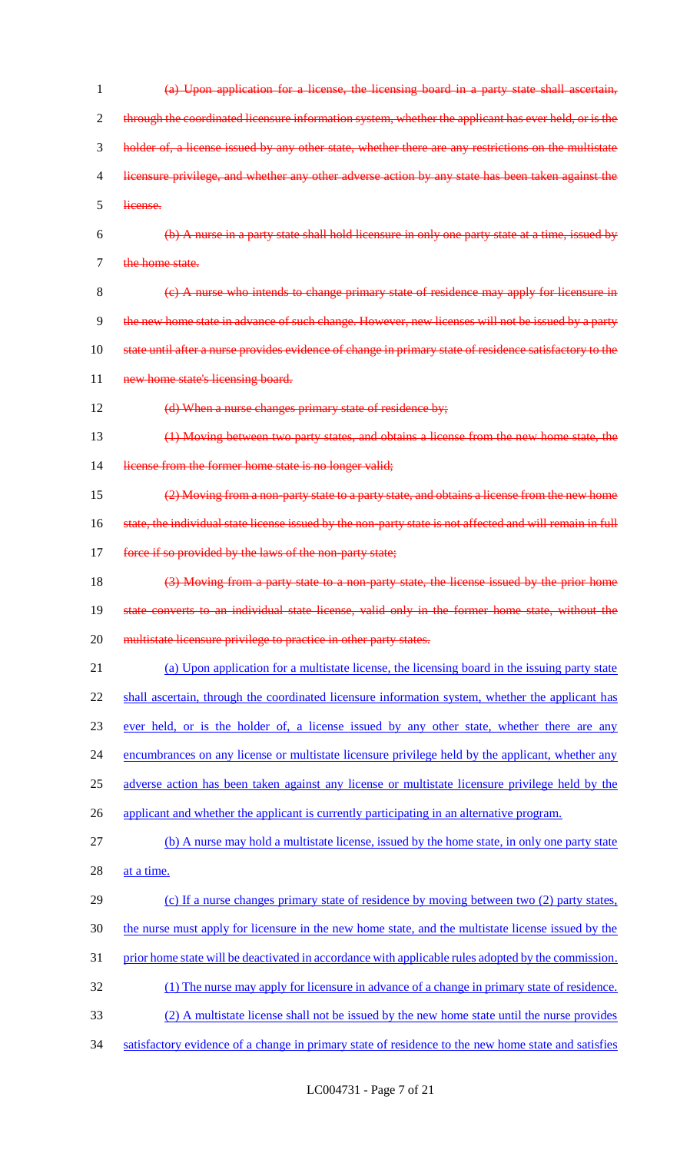| 1  | (a) Upon application for a license, the licensing board in a party state shall ascertain,                 |
|----|-----------------------------------------------------------------------------------------------------------|
| 2  | through the coordinated licensure information system, whether the applicant has ever held, or is the      |
| 3  | holder of, a license issued by any other state, whether there are any restrictions on the multistate      |
| 4  | licensure privilege, and whether any other adverse action by any state has been taken against the         |
| 5  | license.                                                                                                  |
| 6  | (b) A nurse in a party state shall hold licensure in only one party state at a time, issued by            |
| 7  | the home state.                                                                                           |
| 8  | (e) A nurse who intends to change primary state of residence may apply for licensure in                   |
| 9  | the new home state in advance of such change. However, new licenses will not be issued by a party         |
| 10 | state until after a nurse provides evidence of change in primary state of residence satisfactory to the   |
| 11 | new home state's licensing board.                                                                         |
| 12 | (d) When a nurse changes primary state of residence by;                                                   |
| 13 | (1) Moving between two party states, and obtains a license from the new home state, the                   |
| 14 | license from the former home state is no longer valid;                                                    |
| 15 | (2) Moving from a non-party state to a party state, and obtains a license from the new home               |
| 16 | state, the individual state license issued by the non-party state is not affected and will remain in full |
| 17 | force if so provided by the laws of the non-party state;                                                  |
| 18 | (3) Moving from a party state to a non-party state, the license issued by the prior home                  |
| 19 | state converts to an individual state license, valid only in the former home state, without the           |
| 20 | multistate licensure privilege to practice in other party states.                                         |
| 21 | (a) Upon application for a multistate license, the licensing board in the issuing party state             |
| 22 | shall ascertain, through the coordinated licensure information system, whether the applicant has          |
| 23 | ever held, or is the holder of, a license issued by any other state, whether there are any                |
| 24 | encumbrances on any license or multistate licensure privilege held by the applicant, whether any          |
| 25 | adverse action has been taken against any license or multistate licensure privilege held by the           |
| 26 | applicant and whether the applicant is currently participating in an alternative program.                 |
| 27 | (b) A nurse may hold a multistate license, issued by the home state, in only one party state              |
| 28 | at a time.                                                                                                |
| 29 | (c) If a nurse changes primary state of residence by moving between two (2) party states,                 |
| 30 | the nurse must apply for licensure in the new home state, and the multistate license issued by the        |
| 31 | prior home state will be deactivated in accordance with applicable rules adopted by the commission.       |
| 32 | (1) The nurse may apply for licensure in advance of a change in primary state of residence.               |
| 33 | (2) A multistate license shall not be issued by the new home state until the nurse provides               |
| 34 | satisfactory evidence of a change in primary state of residence to the new home state and satisfies       |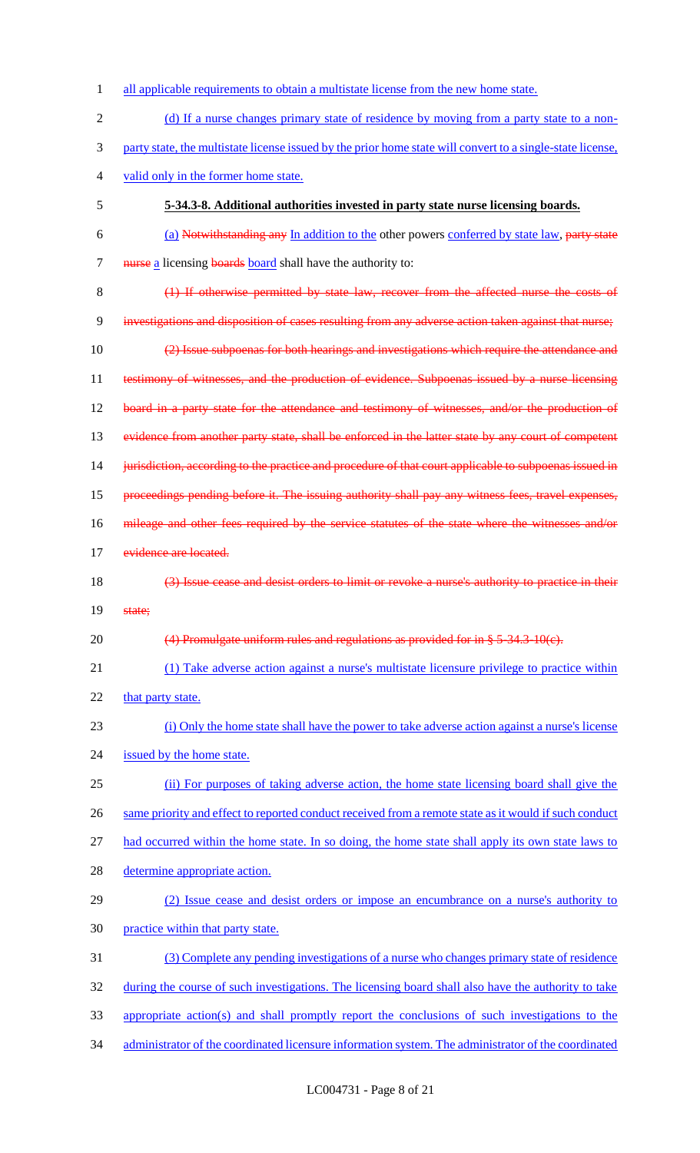| 1              | all applicable requirements to obtain a multistate license from the new home state.                        |
|----------------|------------------------------------------------------------------------------------------------------------|
| $\overline{2}$ | (d) If a nurse changes primary state of residence by moving from a party state to a non-                   |
| 3              | party state, the multistate license issued by the prior home state will convert to a single-state license, |
| $\overline{4}$ | valid only in the former home state.                                                                       |
| 5              | 5-34.3-8. Additional authorities invested in party state nurse licensing boards.                           |
| 6              | (a) Notwithstanding any In addition to the other powers conferred by state law, party state                |
| $\tau$         | nurse a licensing boards board shall have the authority to:                                                |
| 8              | (1) If otherwise permitted by state law, recover from the affected nurse the costs of                      |
| 9              | investigations and disposition of cases resulting from any adverse action taken against that nurse;        |
| 10             | (2) Issue subpoenas for both hearings and investigations which require the attendance and                  |
| 11             | testimony of witnesses, and the production of evidence. Subpoenas issued by a nurse licensing              |
| 12             | board in a party state for the attendance and testimony of witnesses, and/or the production of             |
| 13             | evidence from another party state, shall be enforced in the latter state by any court of competent         |
| 14             | jurisdiction, according to the practice and procedure of that court applicable to subpoenas issued in      |
| 15             | proceedings pending before it. The issuing authority shall pay any witness fees, travel expenses,          |
| 16             | mileage and other fees required by the service statutes of the state where the witnesses and/or            |
| 17             | evidence are located.                                                                                      |
|                |                                                                                                            |
| 18             | (3) Issue cease and desist orders to limit or revoke a nurse's authority to practice in their              |
| 19             | state;                                                                                                     |
| 20             | (4) Promulgate uniform rules and regulations as provided for in $§$ 5-34.3-10(c).                          |
| 21             | (1) Take adverse action against a nurse's multistate licensure privilege to practice within                |
| 22             | that party state.                                                                                          |
| 23             | (i) Only the home state shall have the power to take adverse action against a nurse's license              |
| 24             | issued by the home state.                                                                                  |
| 25             | (ii) For purposes of taking adverse action, the home state licensing board shall give the                  |
| 26             | same priority and effect to reported conduct received from a remote state as it would if such conduct      |
| 27             | had occurred within the home state. In so doing, the home state shall apply its own state laws to          |
| 28             | determine appropriate action.                                                                              |
| 29             | (2) Issue cease and desist orders or impose an encumbrance on a nurse's authority to                       |
| 30             | practice within that party state.                                                                          |
| 31             | (3) Complete any pending investigations of a nurse who changes primary state of residence                  |
| 32             | during the course of such investigations. The licensing board shall also have the authority to take        |
| 33             | appropriate action(s) and shall promptly report the conclusions of such investigations to the              |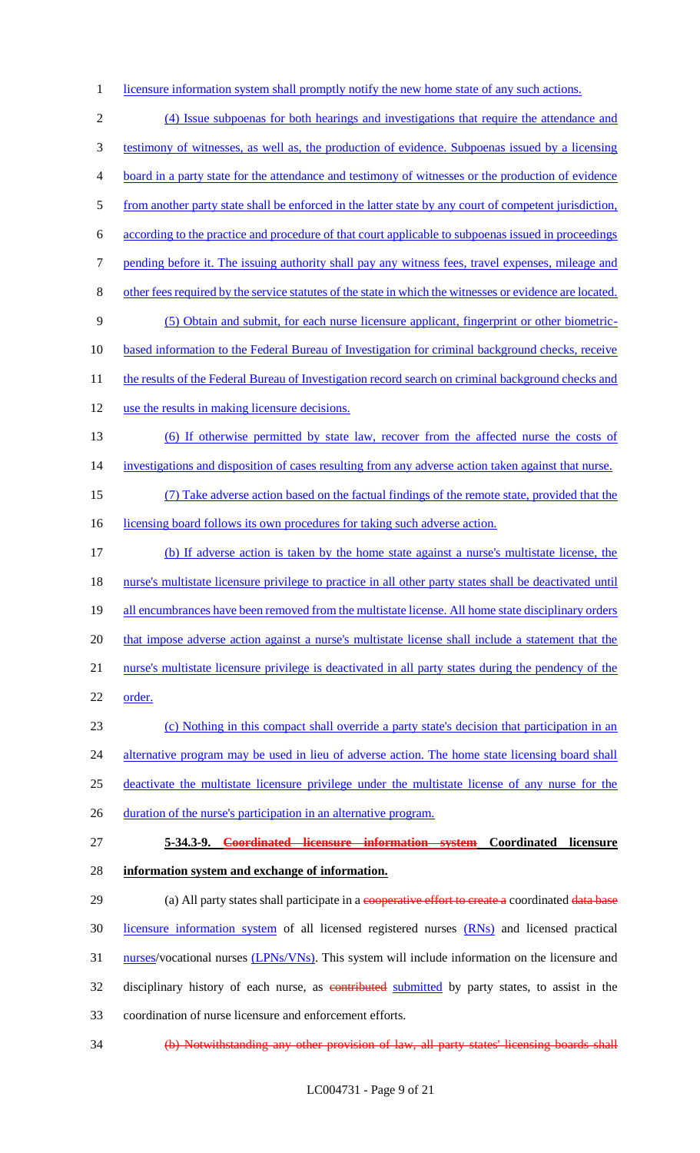1 licensure information system shall promptly notify the new home state of any such actions.

 (4) Issue subpoenas for both hearings and investigations that require the attendance and testimony of witnesses, as well as, the production of evidence. Subpoenas issued by a licensing board in a party state for the attendance and testimony of witnesses or the production of evidence from another party state shall be enforced in the latter state by any court of competent jurisdiction, according to the practice and procedure of that court applicable to subpoenas issued in proceedings pending before it. The issuing authority shall pay any witness fees, travel expenses, mileage and other fees required by the service statutes of the state in which the witnesses or evidence are located. (5) Obtain and submit, for each nurse licensure applicant, fingerprint or other biometric-10 based information to the Federal Bureau of Investigation for criminal background checks, receive 11 the results of the Federal Bureau of Investigation record search on criminal background checks and use the results in making licensure decisions. (6) If otherwise permitted by state law, recover from the affected nurse the costs of 14 investigations and disposition of cases resulting from any adverse action taken against that nurse. (7) Take adverse action based on the factual findings of the remote state, provided that the 16 licensing board follows its own procedures for taking such adverse action. (b) If adverse action is taken by the home state against a nurse's multistate license, the nurse's multistate licensure privilege to practice in all other party states shall be deactivated until 19 all encumbrances have been removed from the multistate license. All home state disciplinary orders 20 that impose adverse action against a nurse's multistate license shall include a statement that the nurse's multistate licensure privilege is deactivated in all party states during the pendency of the 22 order. (c) Nothing in this compact shall override a party state's decision that participation in an 24 alternative program may be used in lieu of adverse action. The home state licensing board shall deactivate the multistate licensure privilege under the multistate license of any nurse for the 26 duration of the nurse's participation in an alternative program.

27 **5-34.3-9. Coordinated licensure information system Coordinated licensure**  28 **information system and exchange of information.**

29 (a) All party states shall participate in a cooperative effort to create a coordinated data base 30 licensure information system of all licensed registered nurses (RNs) and licensed practical 31 nurses/vocational nurses (LPNs/VNs). This system will include information on the licensure and 32 disciplinary history of each nurse, as contributed submitted by party states, to assist in the 33 coordination of nurse licensure and enforcement efforts.

34 (b) Notwithstanding any other provision of law, all party states' licensing boards shall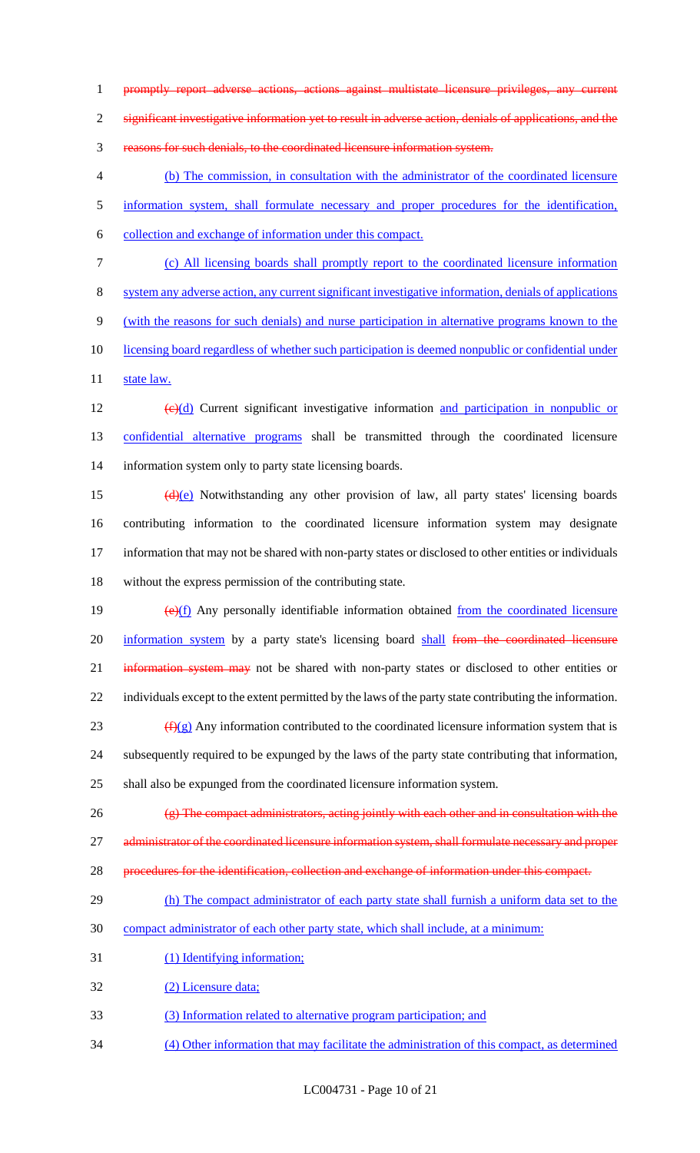promptly report adverse actions, actions against multistate licensure privileges, any current

significant investigative information yet to result in adverse action, denials of applications, and the

reasons for such denials, to the coordinated licensure information system.

 (b) The commission, in consultation with the administrator of the coordinated licensure information system, shall formulate necessary and proper procedures for the identification, collection and exchange of information under this compact.

(c) All licensing boards shall promptly report to the coordinated licensure information

system any adverse action, any current significant investigative information, denials of applications

(with the reasons for such denials) and nurse participation in alternative programs known to the

10 licensing board regardless of whether such participation is deemed nonpublic or confidential under

11 state law.

12  $\left(\frac{e}{d}\right)$  Current significant investigative information and participation in nonpublic or confidential alternative programs shall be transmitted through the coordinated licensure information system only to party state licensing boards.

 $(d)(e)$  Notwithstanding any other provision of law, all party states' licensing boards contributing information to the coordinated licensure information system may designate 17 information that may not be shared with non-party states or disclosed to other entities or individuals without the express permission of the contributing state.

 $(e)(f)$  Any personally identifiable information obtained from the coordinated licensure 20 information system by a party state's licensing board shall from the coordinated licensure 21 information system may not be shared with non-party states or disclosed to other entities or individuals except to the extent permitted by the laws of the party state contributing the information.  $(f)(g)$  Any information contributed to the coordinated licensure information system that is subsequently required to be expunged by the laws of the party state contributing that information,

shall also be expunged from the coordinated licensure information system.

(g) The compact administrators, acting jointly with each other and in consultation with the

27 administrator of the coordinated licensure information system, shall formulate necessary and proper

- procedures for the identification, collection and exchange of information under this compact.
- 29 (h) The compact administrator of each party state shall furnish a uniform data set to the
- compact administrator of each other party state, which shall include, at a minimum:
- (1) Identifying information;

(2) Licensure data;

- (3) Information related to alternative program participation; and
- (4) Other information that may facilitate the administration of this compact, as determined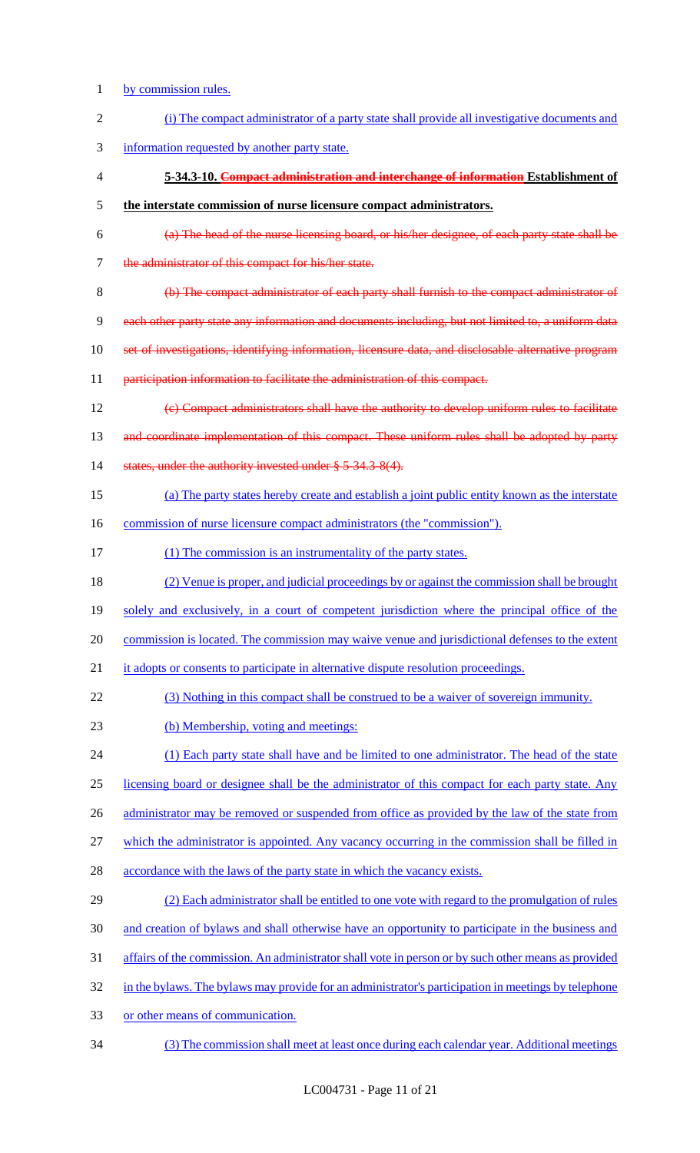- by commission rules.
- (i) The compact administrator of a party state shall provide all investigative documents and information requested by another party state. **5-34.3-10. Compact administration and interchange of information Establishment of the interstate commission of nurse licensure compact administrators.** (a) The head of the nurse licensing board, or his/her designee, of each party state shall be 7 the administrator of this compact for his/her state. (b) The compact administrator of each party shall furnish to the compact administrator of each other party state any information and documents including, but not limited to, a uniform data set of investigations, identifying information, licensure data, and disclosable alternative program 11 participation information to facilitate the administration of this compact. (c) Compact administrators shall have the authority to develop uniform rules to facilitate 13 and coordinate implementation of this compact. These uniform rules shall be adopted by party 14 states, under the authority invested under § 5-34.3-8(4). (a) The party states hereby create and establish a joint public entity known as the interstate 16 commission of nurse licensure compact administrators (the "commission"). 17 (1) The commission is an instrumentality of the party states. (2) Venue is proper, and judicial proceedings by or against the commission shall be brought solely and exclusively, in a court of competent jurisdiction where the principal office of the commission is located. The commission may waive venue and jurisdictional defenses to the extent 21 it adopts or consents to participate in alternative dispute resolution proceedings. (3) Nothing in this compact shall be construed to be a waiver of sovereign immunity. (b) Membership, voting and meetings: 24 (1) Each party state shall have and be limited to one administrator. The head of the state licensing board or designee shall be the administrator of this compact for each party state. Any 26 administrator may be removed or suspended from office as provided by the law of the state from which the administrator is appointed. Any vacancy occurring in the commission shall be filled in 28 accordance with the laws of the party state in which the vacancy exists. (2) Each administrator shall be entitled to one vote with regard to the promulgation of rules and creation of bylaws and shall otherwise have an opportunity to participate in the business and affairs of the commission. An administrator shall vote in person or by such other means as provided 32 in the bylaws. The bylaws may provide for an administrator's participation in meetings by telephone or other means of communication. (3) The commission shall meet at least once during each calendar year. Additional meetings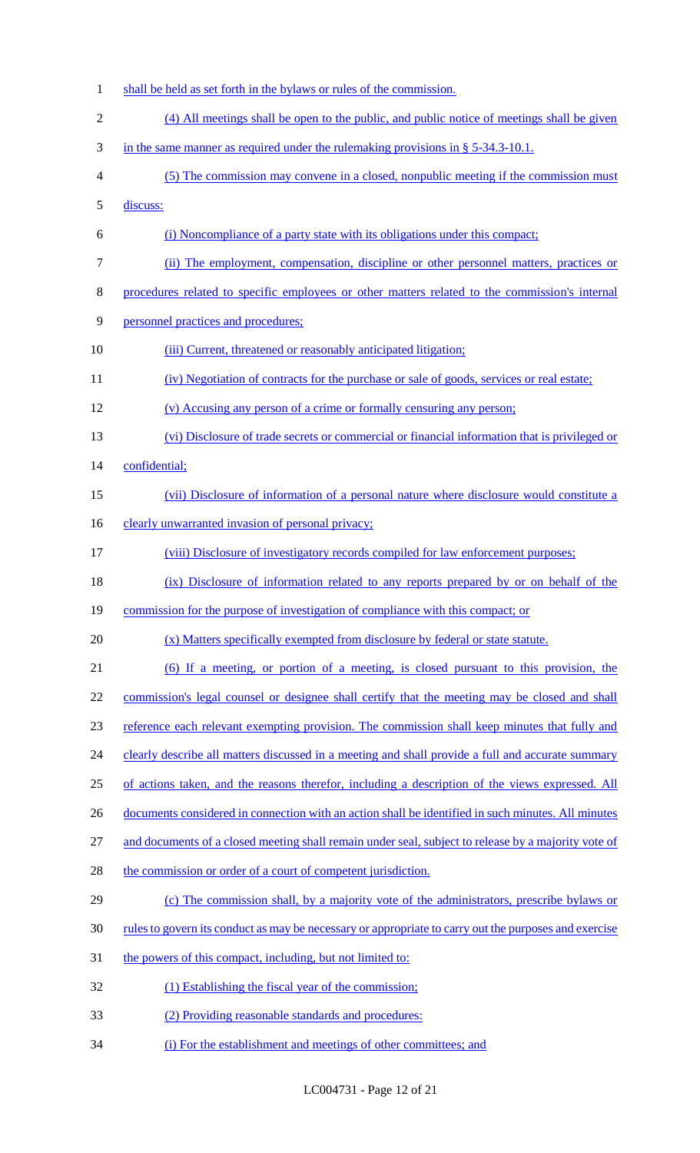shall be held as set forth in the bylaws or rules of the commission. (4) All meetings shall be open to the public, and public notice of meetings shall be given in the same manner as required under the rulemaking provisions in § 5-34.3-10.1. (5) The commission may convene in a closed, nonpublic meeting if the commission must discuss: (i) Noncompliance of a party state with its obligations under this compact; (ii) The employment, compensation, discipline or other personnel matters, practices or procedures related to specific employees or other matters related to the commission's internal personnel practices and procedures; 10 (iii) Current, threatened or reasonably anticipated litigation; 11 (iv) Negotiation of contracts for the purchase or sale of goods, services or real estate; (v) Accusing any person of a crime or formally censuring any person; (vi) Disclosure of trade secrets or commercial or financial information that is privileged or confidential; (vii) Disclosure of information of a personal nature where disclosure would constitute a 16 clearly unwarranted invasion of personal privacy; (viii) Disclosure of investigatory records compiled for law enforcement purposes; 18 (ix) Disclosure of information related to any reports prepared by or on behalf of the commission for the purpose of investigation of compliance with this compact; or (x) Matters specifically exempted from disclosure by federal or state statute. (6) If a meeting, or portion of a meeting, is closed pursuant to this provision, the commission's legal counsel or designee shall certify that the meeting may be closed and shall reference each relevant exempting provision. The commission shall keep minutes that fully and 24 clearly describe all matters discussed in a meeting and shall provide a full and accurate summary of actions taken, and the reasons therefor, including a description of the views expressed. All 26 documents considered in connection with an action shall be identified in such minutes. All minutes and documents of a closed meeting shall remain under seal, subject to release by a majority vote of 28 the commission or order of a court of competent jurisdiction. (c) The commission shall, by a majority vote of the administrators, prescribe bylaws or rules to govern its conduct as may be necessary or appropriate to carry out the purposes and exercise 31 the powers of this compact, including, but not limited to: 32 (1) Establishing the fiscal year of the commission; (2) Providing reasonable standards and procedures: (i) For the establishment and meetings of other committees; and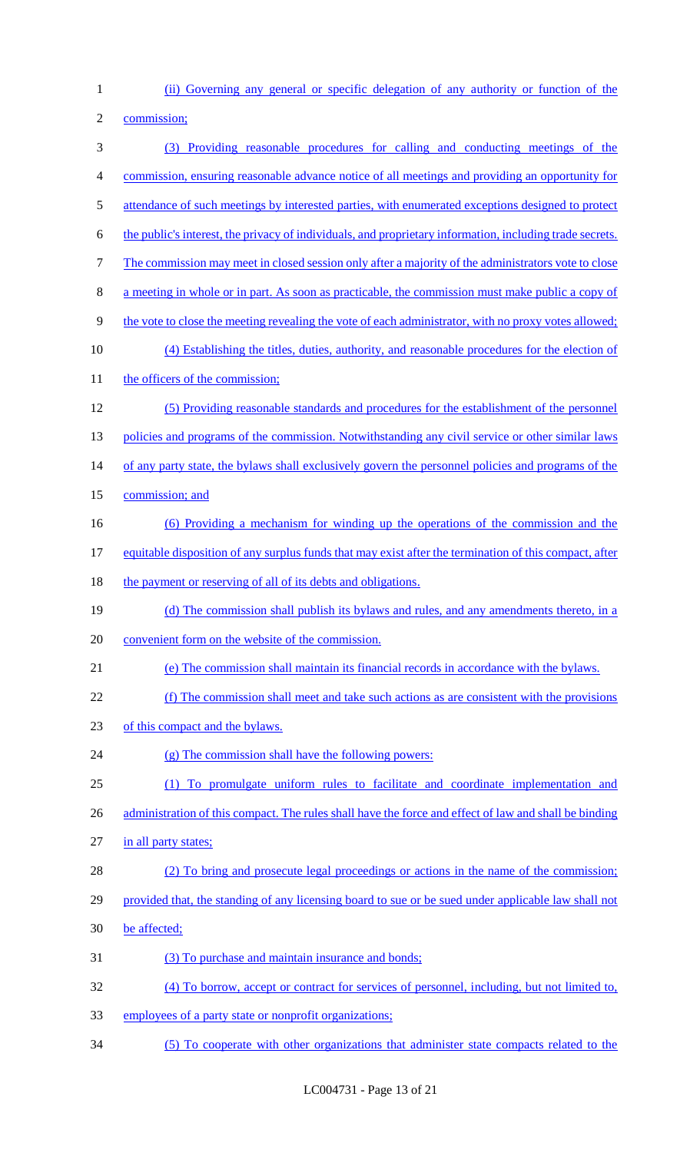(ii) Governing any general or specific delegation of any authority or function of the

2 commission;

| 3              | (3) Providing reasonable procedures for calling and conducting meetings of the                           |
|----------------|----------------------------------------------------------------------------------------------------------|
| $\overline{4}$ | commission, ensuring reasonable advance notice of all meetings and providing an opportunity for          |
| 5              | attendance of such meetings by interested parties, with enumerated exceptions designed to protect        |
| 6              | the public's interest, the privacy of individuals, and proprietary information, including trade secrets. |
| $\tau$         | The commission may meet in closed session only after a majority of the administrators vote to close      |
| $8\,$          | a meeting in whole or in part. As soon as practicable, the commission must make public a copy of         |
| $\mathbf{9}$   | the vote to close the meeting revealing the vote of each administrator, with no proxy votes allowed;     |
| 10             | (4) Establishing the titles, duties, authority, and reasonable procedures for the election of            |
| 11             | the officers of the commission;                                                                          |
| 12             | (5) Providing reasonable standards and procedures for the establishment of the personnel                 |
| 13             | policies and programs of the commission. Notwithstanding any civil service or other similar laws         |
| 14             | of any party state, the bylaws shall exclusively govern the personnel policies and programs of the       |
| 15             | commission; and                                                                                          |
| 16             | (6) Providing a mechanism for winding up the operations of the commission and the                        |
| 17             | equitable disposition of any surplus funds that may exist after the termination of this compact, after   |
| 18             | the payment or reserving of all of its debts and obligations.                                            |
| 19             | (d) The commission shall publish its bylaws and rules, and any amendments thereto, in a                  |
| 20             | convenient form on the website of the commission.                                                        |
| 21             | (e) The commission shall maintain its financial records in accordance with the bylaws.                   |
| 22             | (f) The commission shall meet and take such actions as are consistent with the provisions                |
| 23             | of this compact and the bylaws.                                                                          |
| 24             | (g) The commission shall have the following powers:                                                      |
| 25             | (1) To promulgate uniform rules to facilitate and coordinate implementation and                          |
| 26             | administration of this compact. The rules shall have the force and effect of law and shall be binding    |
| 27             | in all party states;                                                                                     |
| 28             | (2) To bring and prosecute legal proceedings or actions in the name of the commission;                   |
| 29             | provided that, the standing of any licensing board to sue or be sued under applicable law shall not      |
| 30             | be affected;                                                                                             |
| 31             | (3) To purchase and maintain insurance and bonds;                                                        |
| 32             | (4) To borrow, accept or contract for services of personnel, including, but not limited to,              |
| 33             | employees of a party state or nonprofit organizations;                                                   |
| 34             | (5) To cooperate with other organizations that administer state compacts related to the                  |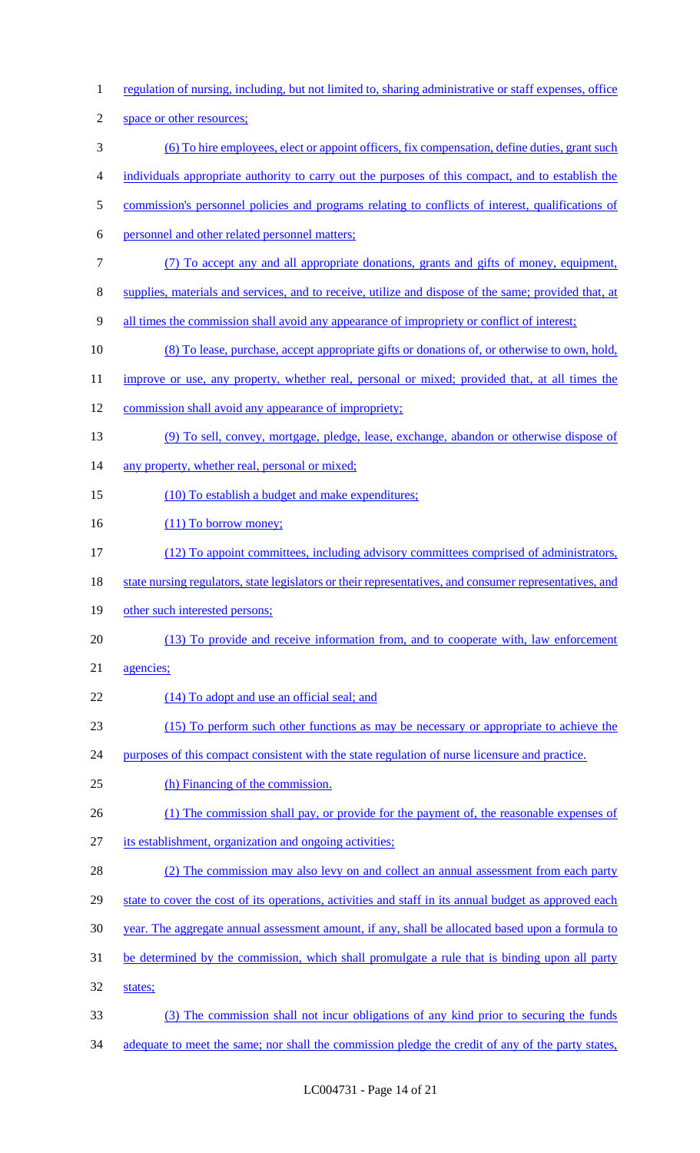regulation of nursing, including, but not limited to, sharing administrative or staff expenses, office space or other resources; (6) To hire employees, elect or appoint officers, fix compensation, define duties, grant such individuals appropriate authority to carry out the purposes of this compact, and to establish the 5 commission's personnel policies and programs relating to conflicts of interest, qualifications of personnel and other related personnel matters; (7) To accept any and all appropriate donations, grants and gifts of money, equipment, supplies, materials and services, and to receive, utilize and dispose of the same; provided that, at all times the commission shall avoid any appearance of impropriety or conflict of interest; (8) To lease, purchase, accept appropriate gifts or donations of, or otherwise to own, hold, 11 improve or use, any property, whether real, personal or mixed; provided that, at all times the commission shall avoid any appearance of impropriety; (9) To sell, convey, mortgage, pledge, lease, exchange, abandon or otherwise dispose of 14 any property, whether real, personal or mixed; 15 (10) To establish a budget and make expenditures; 16 (11) To borrow money; (12) To appoint committees, including advisory committees comprised of administrators, 18 state nursing regulators, state legislators or their representatives, and consumer representatives, and other such interested persons; (13) To provide and receive information from, and to cooperate with, law enforcement agencies; 22 (14) To adopt and use an official seal; and (15) To perform such other functions as may be necessary or appropriate to achieve the 24 purposes of this compact consistent with the state regulation of nurse licensure and practice. (h) Financing of the commission. 26 (1) The commission shall pay, or provide for the payment of, the reasonable expenses of its establishment, organization and ongoing activities; 28 (2) The commission may also levy on and collect an annual assessment from each party 29 state to cover the cost of its operations, activities and staff in its annual budget as approved each year. The aggregate annual assessment amount, if any, shall be allocated based upon a formula to be determined by the commission, which shall promulgate a rule that is binding upon all party states; (3) The commission shall not incur obligations of any kind prior to securing the funds 34 adequate to meet the same; nor shall the commission pledge the credit of any of the party states,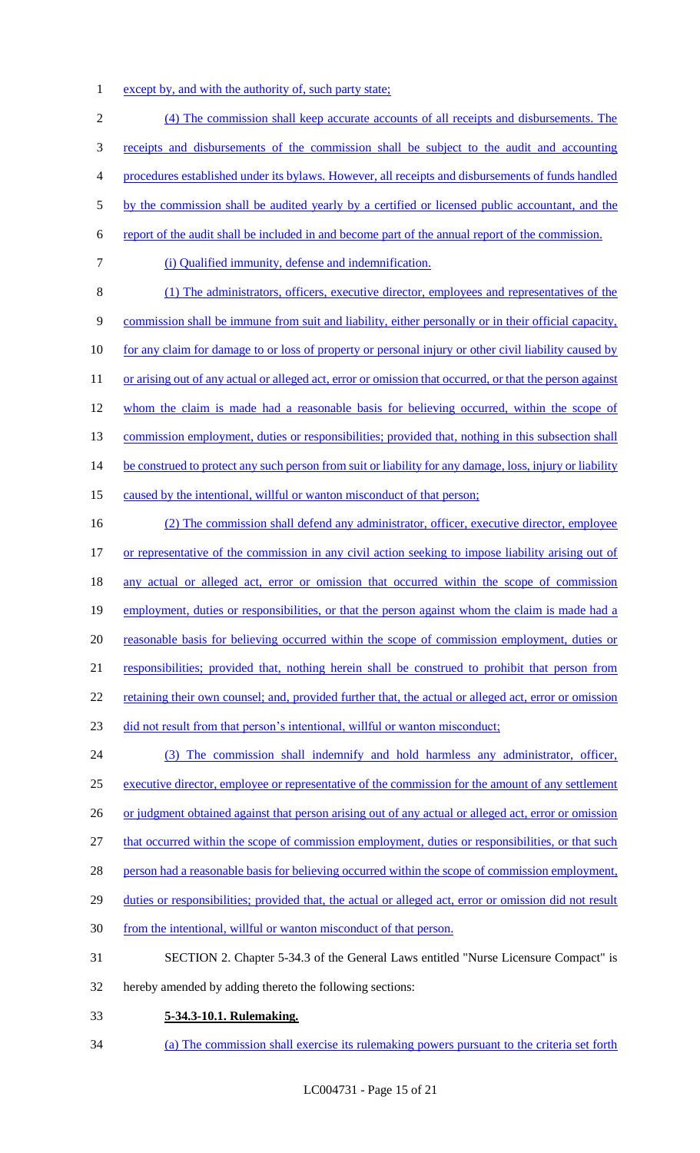1 except by, and with the authority of, such party state;

2 (4) The commission shall keep accurate accounts of all receipts and disbursements. The 3 receipts and disbursements of the commission shall be subject to the audit and accounting 4 procedures established under its bylaws. However, all receipts and disbursements of funds handled 5 by the commission shall be audited yearly by a certified or licensed public accountant, and the 6 report of the audit shall be included in and become part of the annual report of the commission. 7 (i) Qualified immunity, defense and indemnification. 8 (1) The administrators, officers, executive director, employees and representatives of the 9 commission shall be immune from suit and liability, either personally or in their official capacity, 10 for any claim for damage to or loss of property or personal injury or other civil liability caused by 11 or arising out of any actual or alleged act, error or omission that occurred, or that the person against 12 whom the claim is made had a reasonable basis for believing occurred, within the scope of 13 commission employment, duties or responsibilities; provided that, nothing in this subsection shall 14 be construed to protect any such person from suit or liability for any damage, loss, injury or liability 15 caused by the intentional, willful or wanton misconduct of that person; 16 (2) The commission shall defend any administrator, officer, executive director, employee 17 or representative of the commission in any civil action seeking to impose liability arising out of 18 any actual or alleged act, error or omission that occurred within the scope of commission 19 employment, duties or responsibilities, or that the person against whom the claim is made had a 20 reasonable basis for believing occurred within the scope of commission employment, duties or 21 responsibilities; provided that, nothing herein shall be construed to prohibit that person from 22 retaining their own counsel; and, provided further that, the actual or alleged act, error or omission

23 did not result from that person's intentional, willful or wanton misconduct;

24 (3) The commission shall indemnify and hold harmless any administrator, officer, 25 executive director, employee or representative of the commission for the amount of any settlement 26 or judgment obtained against that person arising out of any actual or alleged act, error or omission 27 that occurred within the scope of commission employment, duties or responsibilities, or that such 28 person had a reasonable basis for believing occurred within the scope of commission employment, 29 duties or responsibilities; provided that, the actual or alleged act, error or omission did not result 30 from the intentional, willful or wanton misconduct of that person.

- 31 SECTION 2. Chapter 5-34.3 of the General Laws entitled "Nurse Licensure Compact" is
- 32 hereby amended by adding thereto the following sections:
- 33 **5-34.3-10.1. Rulemaking.**
- 34 (a) The commission shall exercise its rulemaking powers pursuant to the criteria set forth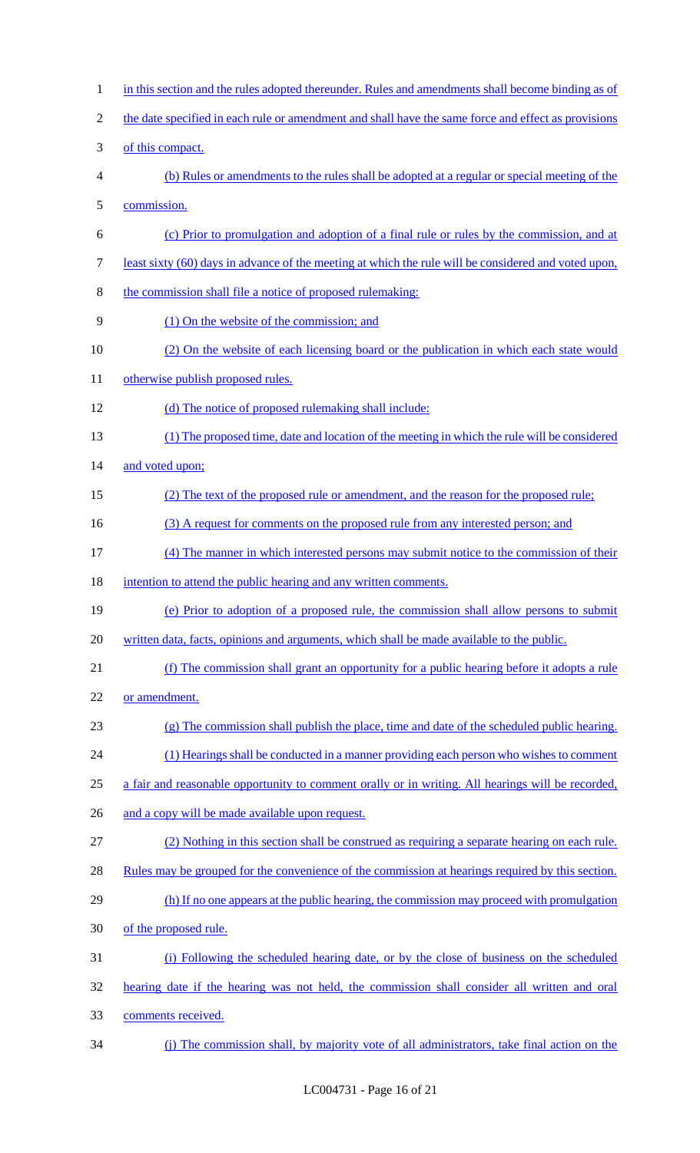1 in this section and the rules adopted thereunder. Rules and amendments shall become binding as of 2 the date specified in each rule or amendment and shall have the same force and effect as provisions of this compact. (b) Rules or amendments to the rules shall be adopted at a regular or special meeting of the commission. (c) Prior to promulgation and adoption of a final rule or rules by the commission, and at least sixty (60) days in advance of the meeting at which the rule will be considered and voted upon, the commission shall file a notice of proposed rulemaking: (1) On the website of the commission; and (2) On the website of each licensing board or the publication in which each state would 11 otherwise publish proposed rules. 12 (d) The notice of proposed rulemaking shall include: (1) The proposed time, date and location of the meeting in which the rule will be considered 14 and voted upon; 15 (2) The text of the proposed rule or amendment, and the reason for the proposed rule; 16 (3) A request for comments on the proposed rule from any interested person; and (4) The manner in which interested persons may submit notice to the commission of their 18 intention to attend the public hearing and any written comments. (e) Prior to adoption of a proposed rule, the commission shall allow persons to submit written data, facts, opinions and arguments, which shall be made available to the public. (f) The commission shall grant an opportunity for a public hearing before it adopts a rule or amendment. (g) The commission shall publish the place, time and date of the scheduled public hearing. 24 (1) Hearings shall be conducted in a manner providing each person who wishes to comment a fair and reasonable opportunity to comment orally or in writing. All hearings will be recorded, 26 and a copy will be made available upon request. (2) Nothing in this section shall be construed as requiring a separate hearing on each rule. Rules may be grouped for the convenience of the commission at hearings required by this section. 29 (h) If no one appears at the public hearing, the commission may proceed with promulgation of the proposed rule. (i) Following the scheduled hearing date, or by the close of business on the scheduled hearing date if the hearing was not held, the commission shall consider all written and oral comments received. (j) The commission shall, by majority vote of all administrators, take final action on the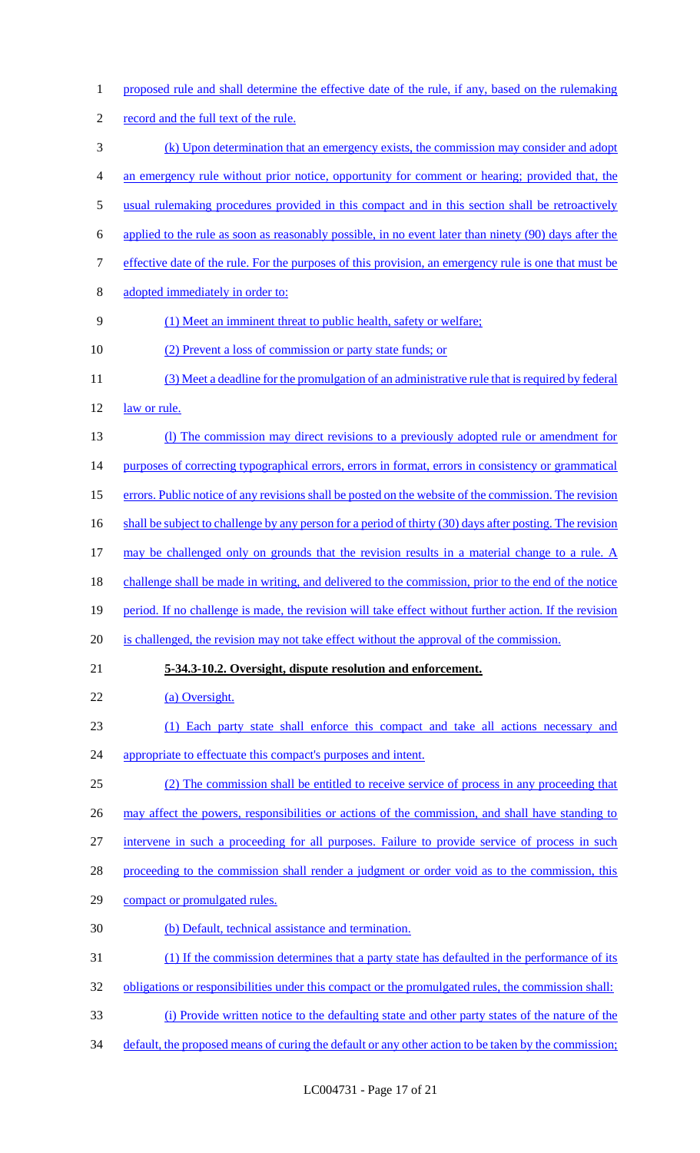proposed rule and shall determine the effective date of the rule, if any, based on the rulemaking record and the full text of the rule. (k) Upon determination that an emergency exists, the commission may consider and adopt an emergency rule without prior notice, opportunity for comment or hearing; provided that, the usual rulemaking procedures provided in this compact and in this section shall be retroactively applied to the rule as soon as reasonably possible, in no event later than ninety (90) days after the effective date of the rule. For the purposes of this provision, an emergency rule is one that must be adopted immediately in order to: (1) Meet an imminent threat to public health, safety or welfare; 10 (2) Prevent a loss of commission or party state funds; or (3) Meet a deadline for the promulgation of an administrative rule that is required by federal 12 law or rule. (l) The commission may direct revisions to a previously adopted rule or amendment for 14 purposes of correcting typographical errors, errors in format, errors in consistency or grammatical errors. Public notice of any revisions shall be posted on the website of the commission. The revision 16 shall be subject to challenge by any person for a period of thirty (30) days after posting. The revision 17 may be challenged only on grounds that the revision results in a material change to a rule. A challenge shall be made in writing, and delivered to the commission, prior to the end of the notice 19 period. If no challenge is made, the revision will take effect without further action. If the revision 20 is challenged, the revision may not take effect without the approval of the commission. **5-34.3-10.2. Oversight, dispute resolution and enforcement.**  22 (a) Oversight. (1) Each party state shall enforce this compact and take all actions necessary and 24 appropriate to effectuate this compact's purposes and intent. (2) The commission shall be entitled to receive service of process in any proceeding that 26 may affect the powers, responsibilities or actions of the commission, and shall have standing to intervene in such a proceeding for all purposes. Failure to provide service of process in such 28 proceeding to the commission shall render a judgment or order void as to the commission, this compact or promulgated rules. (b) Default, technical assistance and termination. (1) If the commission determines that a party state has defaulted in the performance of its 32 obligations or responsibilities under this compact or the promulgated rules, the commission shall: (i) Provide written notice to the defaulting state and other party states of the nature of the 34 default, the proposed means of curing the default or any other action to be taken by the commission;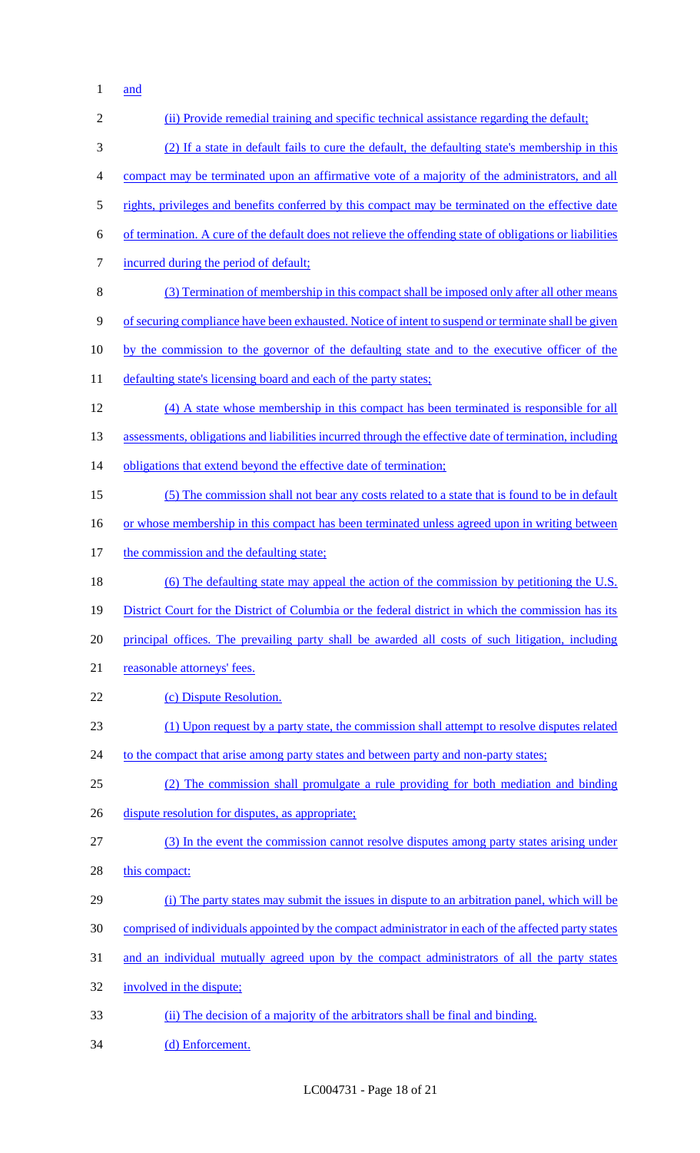1 <u>and</u>

| $\overline{2}$   | (ii) Provide remedial training and specific technical assistance regarding the default;                  |
|------------------|----------------------------------------------------------------------------------------------------------|
| 3                | (2) If a state in default fails to cure the default, the defaulting state's membership in this           |
| $\overline{4}$   | compact may be terminated upon an affirmative vote of a majority of the administrators, and all          |
| $\mathfrak{S}$   | rights, privileges and benefits conferred by this compact may be terminated on the effective date        |
| 6                | of termination. A cure of the default does not relieve the offending state of obligations or liabilities |
| $\boldsymbol{7}$ | incurred during the period of default;                                                                   |
| 8                | (3) Termination of membership in this compact shall be imposed only after all other means                |
| 9                | of securing compliance have been exhausted. Notice of intent to suspend or terminate shall be given      |
| 10               | by the commission to the governor of the defaulting state and to the executive officer of the            |
| 11               | defaulting state's licensing board and each of the party states;                                         |
| 12               | (4) A state whose membership in this compact has been terminated is responsible for all                  |
| 13               | assessments, obligations and liabilities incurred through the effective date of termination, including   |
| 14               | obligations that extend beyond the effective date of termination;                                        |
| 15               | (5) The commission shall not bear any costs related to a state that is found to be in default            |
| 16               | or whose membership in this compact has been terminated unless agreed upon in writing between            |
| 17               | the commission and the defaulting state;                                                                 |
| 18               | (6) The defaulting state may appeal the action of the commission by petitioning the U.S.                 |
| 19               | District Court for the District of Columbia or the federal district in which the commission has its      |
| 20               | principal offices. The prevailing party shall be awarded all costs of such litigation, including         |
| 21               | reasonable attorneys' fees.                                                                              |
| 22               | (c) Dispute Resolution.                                                                                  |
| 23               | (1) Upon request by a party state, the commission shall attempt to resolve disputes related              |
| 24               | to the compact that arise among party states and between party and non-party states;                     |
| 25               | (2) The commission shall promulgate a rule providing for both mediation and binding                      |
| 26               | dispute resolution for disputes, as appropriate;                                                         |
| 27               | (3) In the event the commission cannot resolve disputes among party states arising under                 |
| 28               | this compact:                                                                                            |
| 29               | (i) The party states may submit the issues in dispute to an arbitration panel, which will be             |
| 30               | comprised of individuals appointed by the compact administrator in each of the affected party states     |
| 31               | and an individual mutually agreed upon by the compact administrators of all the party states             |
| 32               | involved in the dispute;                                                                                 |
| 33               | (ii) The decision of a majority of the arbitrators shall be final and binding.                           |
| 34               | (d) Enforcement.                                                                                         |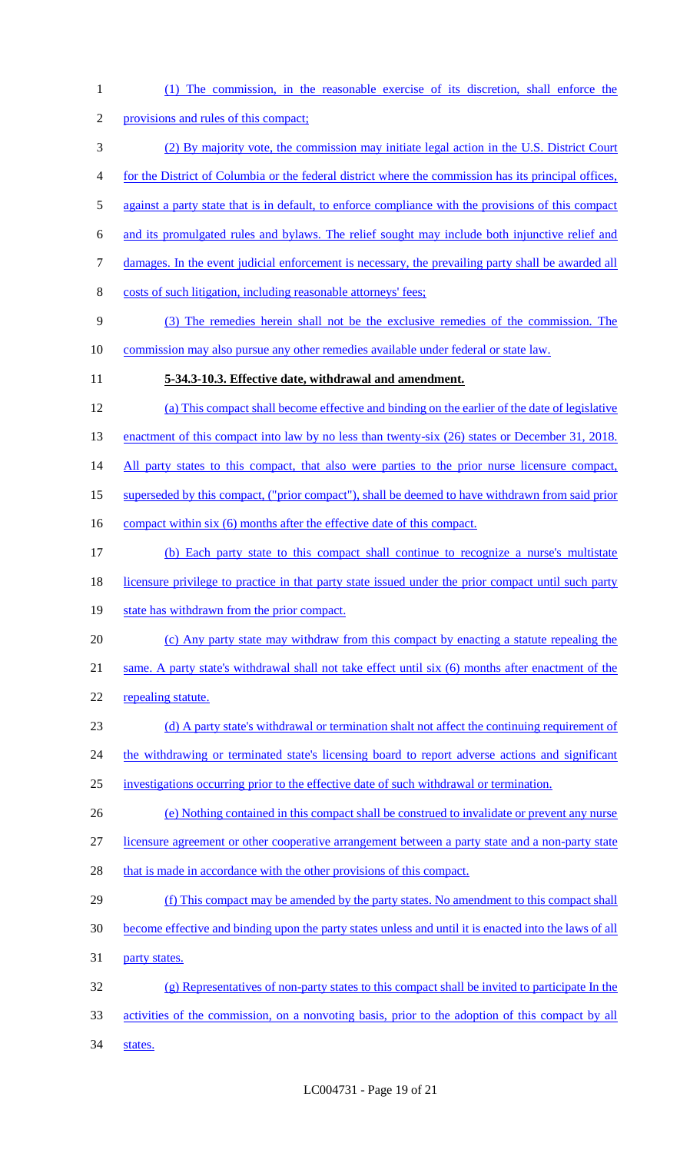(1) The commission, in the reasonable exercise of its discretion, shall enforce the provisions and rules of this compact; (2) By majority vote, the commission may initiate legal action in the U.S. District Court for the District of Columbia or the federal district where the commission has its principal offices, against a party state that is in default, to enforce compliance with the provisions of this compact and its promulgated rules and bylaws. The relief sought may include both injunctive relief and damages. In the event judicial enforcement is necessary, the prevailing party shall be awarded all costs of such litigation, including reasonable attorneys' fees; (3) The remedies herein shall not be the exclusive remedies of the commission. The commission may also pursue any other remedies available under federal or state law. **5-34.3-10.3. Effective date, withdrawal and amendment.**  (a) This compact shall become effective and binding on the earlier of the date of legislative 13 enactment of this compact into law by no less than twenty-six (26) states or December 31, 2018. 14 All party states to this compact, that also were parties to the prior nurse licensure compact, superseded by this compact, ("prior compact"), shall be deemed to have withdrawn from said prior 16 compact within six (6) months after the effective date of this compact. (b) Each party state to this compact shall continue to recognize a nurse's multistate licensure privilege to practice in that party state issued under the prior compact until such party 19 state has withdrawn from the prior compact. (c) Any party state may withdraw from this compact by enacting a statute repealing the same. A party state's withdrawal shall not take effect until six (6) months after enactment of the 22 repealing statute. 23 (d) A party state's withdrawal or termination shalt not affect the continuing requirement of 24 the withdrawing or terminated state's licensing board to report adverse actions and significant investigations occurring prior to the effective date of such withdrawal or termination. (e) Nothing contained in this compact shall be construed to invalidate or prevent any nurse licensure agreement or other cooperative arrangement between a party state and a non-party state 28 that is made in accordance with the other provisions of this compact. 29 (f) This compact may be amended by the party states. No amendment to this compact shall become effective and binding upon the party states unless and until it is enacted into the laws of all party states. (g) Representatives of non-party states to this compact shall be invited to participate In the activities of the commission, on a nonvoting basis, prior to the adoption of this compact by all 34 states.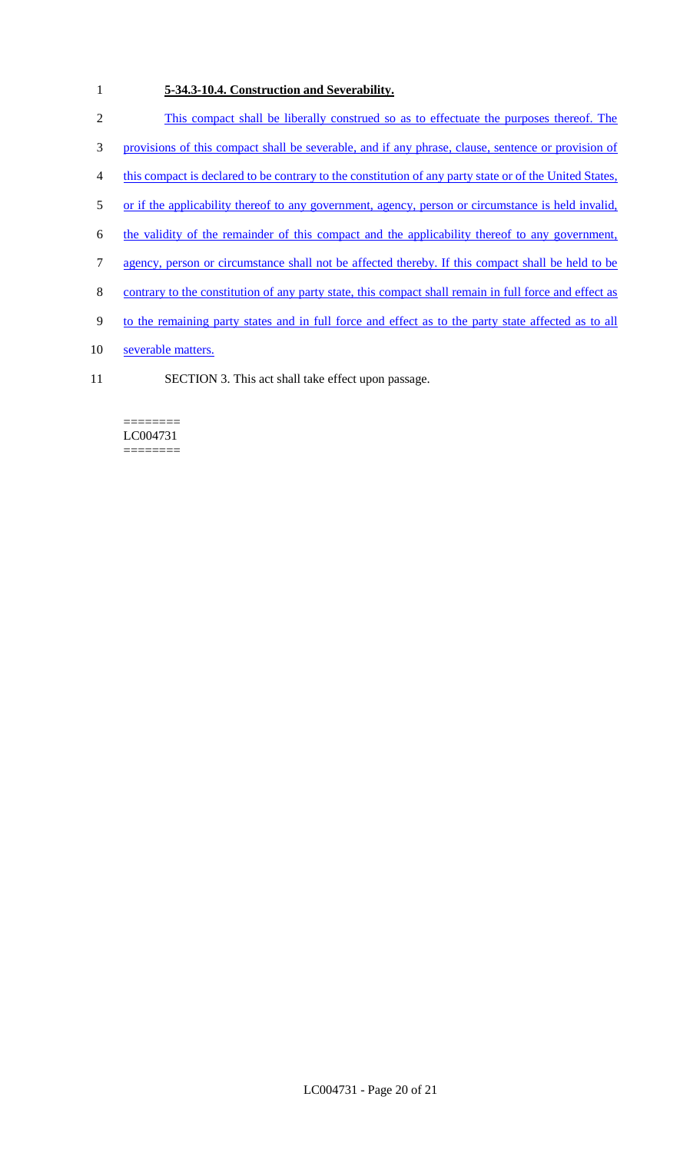# 1 **5-34.3-10.4. Construction and Severability.**

- 2 This compact shall be liberally construed so as to effectuate the purposes thereof. The
- 3 provisions of this compact shall be severable, and if any phrase, clause, sentence or provision of
- 4 this compact is declared to be contrary to the constitution of any party state or of the United States,
- 5 or if the applicability thereof to any government, agency, person or circumstance is held invalid,
- 6 the validity of the remainder of this compact and the applicability thereof to any government,
- 7 agency, person or circumstance shall not be affected thereby. If this compact shall be held to be
- 8 contrary to the constitution of any party state, this compact shall remain in full force and effect as
- 9 to the remaining party states and in full force and effect as to the party state affected as to all
- 10 severable matters.
- 11 SECTION 3. This act shall take effect upon passage.

#### ======== LC004731 ========